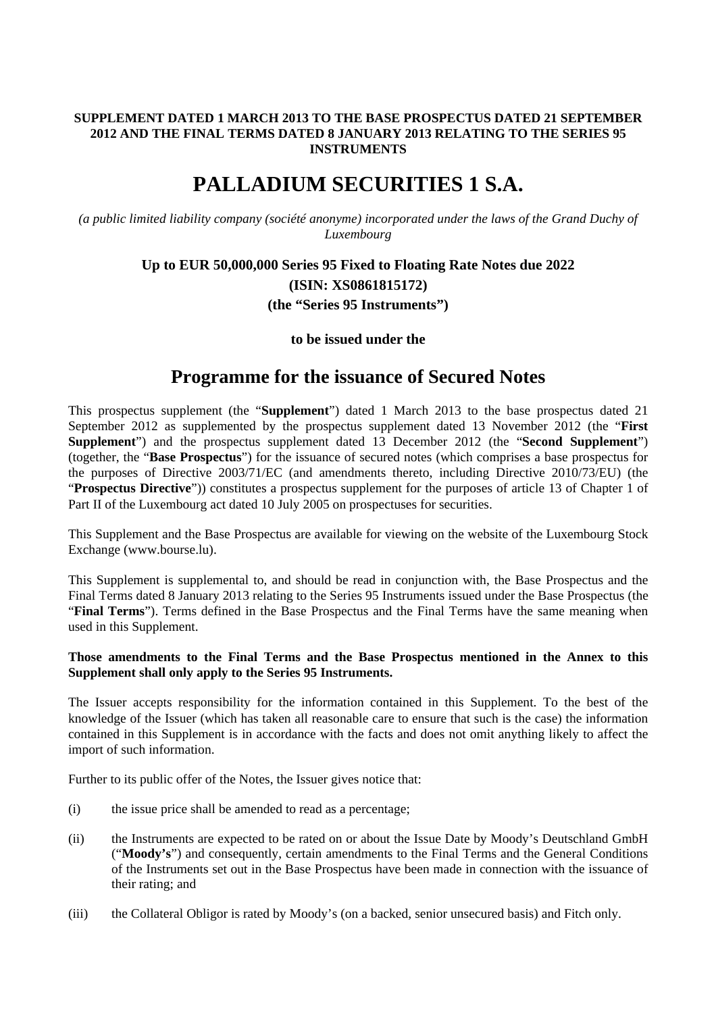#### **SUPPLEMENT DATED 1 MARCH 2013 TO THE BASE PROSPECTUS DATED 21 SEPTEMBER 2012 AND THE FINAL TERMS DATED 8 JANUARY 2013 RELATING TO THE SERIES 95 INSTRUMENTS**

# **PALLADIUM SECURITIES 1 S.A.**

*(a public limited liability company (société anonyme) incorporated under the laws of the Grand Duchy of Luxembourg* 

## **Up to EUR 50,000,000 Series 95 Fixed to Floating Rate Notes due 2022 (ISIN: XS0861815172) (the "Series 95 Instruments")**

### **to be issued under the**

## **Programme for the issuance of Secured Notes**

This prospectus supplement (the "**Supplement**") dated 1 March 2013 to the base prospectus dated 21 September 2012 as supplemented by the prospectus supplement dated 13 November 2012 (the "**First Supplement**") and the prospectus supplement dated 13 December 2012 (the "**Second Supplement**") (together, the "**Base Prospectus**") for the issuance of secured notes (which comprises a base prospectus for the purposes of Directive 2003/71/EC (and amendments thereto, including Directive 2010/73/EU) (the "**Prospectus Directive**")) constitutes a prospectus supplement for the purposes of article 13 of Chapter 1 of Part II of the Luxembourg act dated 10 July 2005 on prospectuses for securities.

This Supplement and the Base Prospectus are available for viewing on the website of the Luxembourg Stock Exchange (www.bourse.lu).

This Supplement is supplemental to, and should be read in conjunction with, the Base Prospectus and the Final Terms dated 8 January 2013 relating to the Series 95 Instruments issued under the Base Prospectus (the "**Final Terms**"). Terms defined in the Base Prospectus and the Final Terms have the same meaning when used in this Supplement.

#### **Those amendments to the Final Terms and the Base Prospectus mentioned in the Annex to this Supplement shall only apply to the Series 95 Instruments.**

The Issuer accepts responsibility for the information contained in this Supplement. To the best of the knowledge of the Issuer (which has taken all reasonable care to ensure that such is the case) the information contained in this Supplement is in accordance with the facts and does not omit anything likely to affect the import of such information.

Further to its public offer of the Notes, the Issuer gives notice that:

- (i) the issue price shall be amended to read as a percentage;
- (ii) the Instruments are expected to be rated on or about the Issue Date by Moody's Deutschland GmbH ("**Moody's**") and consequently, certain amendments to the Final Terms and the General Conditions of the Instruments set out in the Base Prospectus have been made in connection with the issuance of their rating; and
- (iii) the Collateral Obligor is rated by Moody's (on a backed, senior unsecured basis) and Fitch only.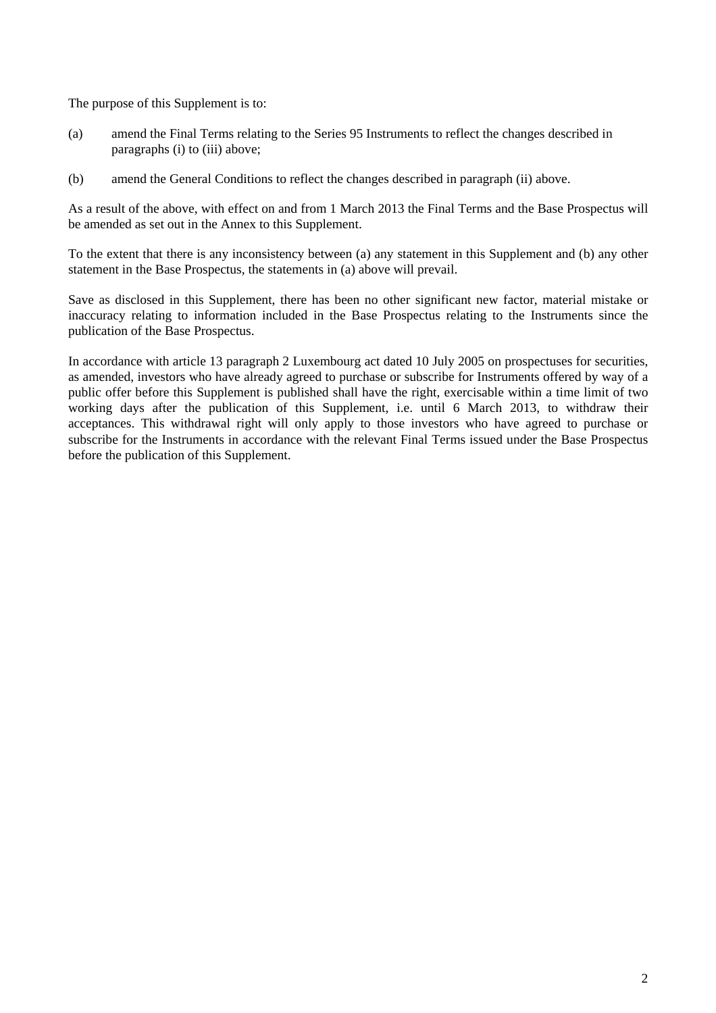The purpose of this Supplement is to:

- (a) amend the Final Terms relating to the Series 95 Instruments to reflect the changes described in paragraphs (i) to (iii) above;
- (b) amend the General Conditions to reflect the changes described in paragraph (ii) above.

As a result of the above, with effect on and from 1 March 2013 the Final Terms and the Base Prospectus will be amended as set out in the Annex to this Supplement.

To the extent that there is any inconsistency between (a) any statement in this Supplement and (b) any other statement in the Base Prospectus, the statements in (a) above will prevail.

Save as disclosed in this Supplement, there has been no other significant new factor, material mistake or inaccuracy relating to information included in the Base Prospectus relating to the Instruments since the publication of the Base Prospectus.

In accordance with article 13 paragraph 2 Luxembourg act dated 10 July 2005 on prospectuses for securities, as amended, investors who have already agreed to purchase or subscribe for Instruments offered by way of a public offer before this Supplement is published shall have the right, exercisable within a time limit of two working days after the publication of this Supplement, i.e. until 6 March 2013, to withdraw their acceptances. This withdrawal right will only apply to those investors who have agreed to purchase or subscribe for the Instruments in accordance with the relevant Final Terms issued under the Base Prospectus before the publication of this Supplement.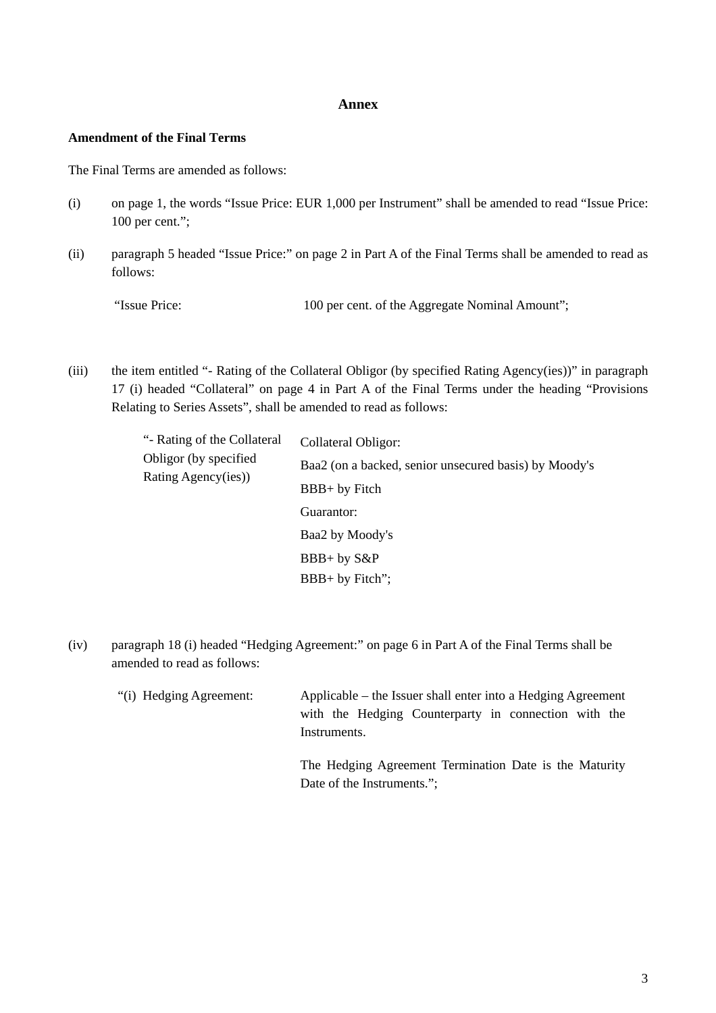#### **Annex**

#### **Amendment of the Final Terms**

The Final Terms are amended as follows:

- (i) on page 1, the words "Issue Price: EUR 1,000 per Instrument" shall be amended to read "Issue Price: 100 per cent.";
- (ii) paragraph 5 headed "Issue Price:" on page 2 in Part A of the Final Terms shall be amended to read as follows:

"Issue Price: 100 per cent. of the Aggregate Nominal Amount";

(iii) the item entitled "- Rating of the Collateral Obligor (by specified Rating Agency(ies))" in paragraph 17 (i) headed "Collateral" on page 4 in Part A of the Final Terms under the heading "Provisions Relating to Series Assets", shall be amended to read as follows:

| "- Rating of the Collateral<br>Obligor (by specified)<br>Rating Agency(ies)) | Collateral Obligor:                                   |
|------------------------------------------------------------------------------|-------------------------------------------------------|
|                                                                              | Baa2 (on a backed, senior unsecured basis) by Moody's |
|                                                                              | BBB+ by Fitch                                         |
|                                                                              | Guarantor:                                            |
|                                                                              | Baa2 by Moody's                                       |
|                                                                              | BBB+ by S&P                                           |
|                                                                              | $BBB+by$ Fitch";                                      |

- (iv) paragraph 18 (i) headed "Hedging Agreement:" on page 6 in Part A of the Final Terms shall be amended to read as follows:
	- "(i) Hedging Agreement: Applicable the Issuer shall enter into a Hedging Agreement with the Hedging Counterparty in connection with the Instruments.

The Hedging Agreement Termination Date is the Maturity Date of the Instruments.";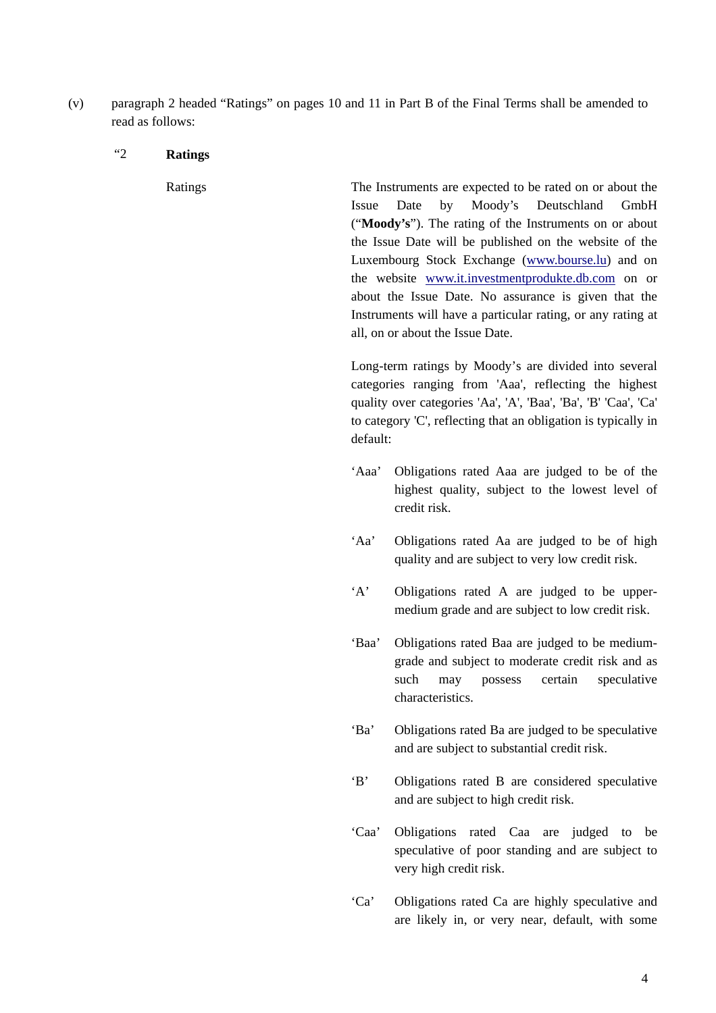(v) paragraph 2 headed "Ratings" on pages 10 and 11 in Part B of the Final Terms shall be amended to read as follows:

#### "2 **Ratings**

 Ratings The Instruments are expected to be rated on or about the Issue Date by Moody's Deutschland GmbH ("**Moody's**"). The rating of the Instruments on or about the Issue Date will be published on the website of the Luxembourg Stock Exchange (www.bourse.lu) and on the website www.it.investmentprodukte.db.com on or about the Issue Date. No assurance is given that the Instruments will have a particular rating, or any rating at all, on or about the Issue Date.

> Long-term ratings by Moody's are divided into several categories ranging from 'Aaa', reflecting the highest quality over categories 'Aa', 'A', 'Baa', 'Ba', 'B' 'Caa', 'Ca' to category 'C', reflecting that an obligation is typically in default:

- 'Aaa' Obligations rated Aaa are judged to be of the highest quality, subject to the lowest level of credit risk.
- 'Aa' Obligations rated Aa are judged to be of high quality and are subject to very low credit risk.
- 'A' Obligations rated A are judged to be uppermedium grade and are subject to low credit risk.
- 'Baa' Obligations rated Baa are judged to be mediumgrade and subject to moderate credit risk and as such may possess certain speculative characteristics.
- 'Ba' Obligations rated Ba are judged to be speculative and are subject to substantial credit risk.
- 'B' Obligations rated B are considered speculative and are subject to high credit risk.
- 'Caa' Obligations rated Caa are judged to be speculative of poor standing and are subject to very high credit risk.
- 'Ca' Obligations rated Ca are highly speculative and are likely in, or very near, default, with some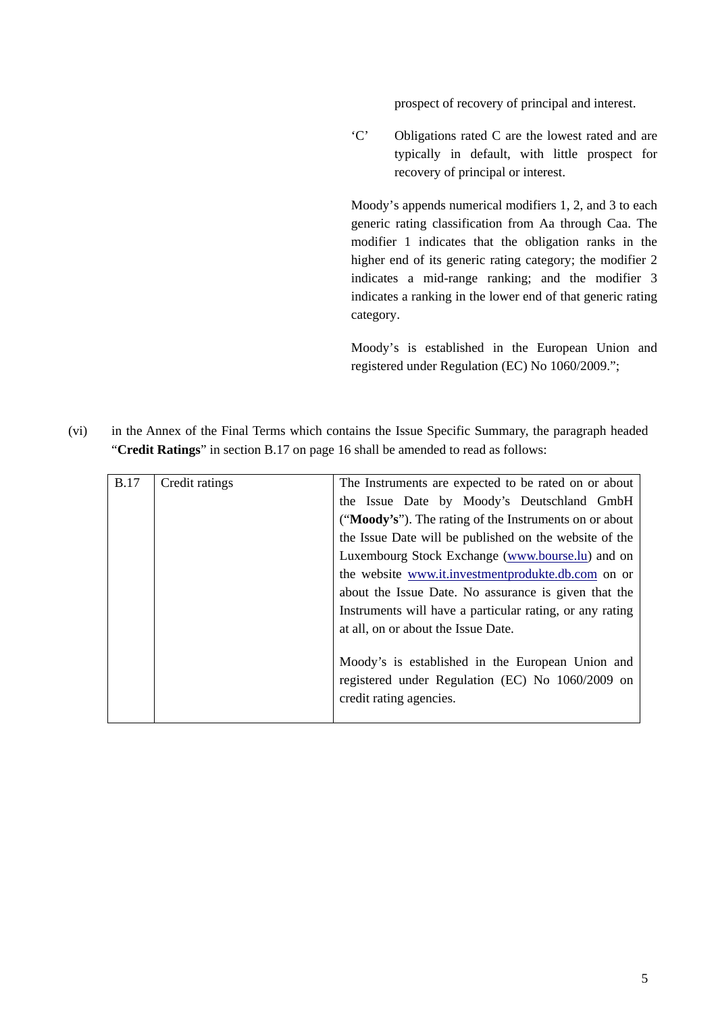prospect of recovery of principal and interest.

'C' Obligations rated C are the lowest rated and are typically in default, with little prospect for recovery of principal or interest.

Moody's appends numerical modifiers 1, 2, and 3 to each generic rating classification from Aa through Caa. The modifier 1 indicates that the obligation ranks in the higher end of its generic rating category; the modifier 2 indicates a mid-range ranking; and the modifier 3 indicates a ranking in the lower end of that generic rating category.

 Moody's is established in the European Union and registered under Regulation (EC) No 1060/2009.";

(vi) in the Annex of the Final Terms which contains the Issue Specific Summary, the paragraph headed "**Credit Ratings**" in section B.17 on page 16 shall be amended to read as follows:

| <b>B.17</b> | Credit ratings | The Instruments are expected to be rated on or about     |
|-------------|----------------|----------------------------------------------------------|
|             |                | the Issue Date by Moody's Deutschland GmbH               |
|             |                | ("Moody's"). The rating of the Instruments on or about   |
|             |                | the Issue Date will be published on the website of the   |
|             |                | Luxembourg Stock Exchange (www.bourse.lu) and on         |
|             |                | the website www.it.investmentprodukte.db.com on or       |
|             |                | about the Issue Date. No assurance is given that the     |
|             |                | Instruments will have a particular rating, or any rating |
|             |                | at all, on or about the Issue Date.                      |
|             |                |                                                          |
|             |                | Moody's is established in the European Union and         |
|             |                | registered under Regulation (EC) No 1060/2009 on         |
|             |                | credit rating agencies.                                  |
|             |                |                                                          |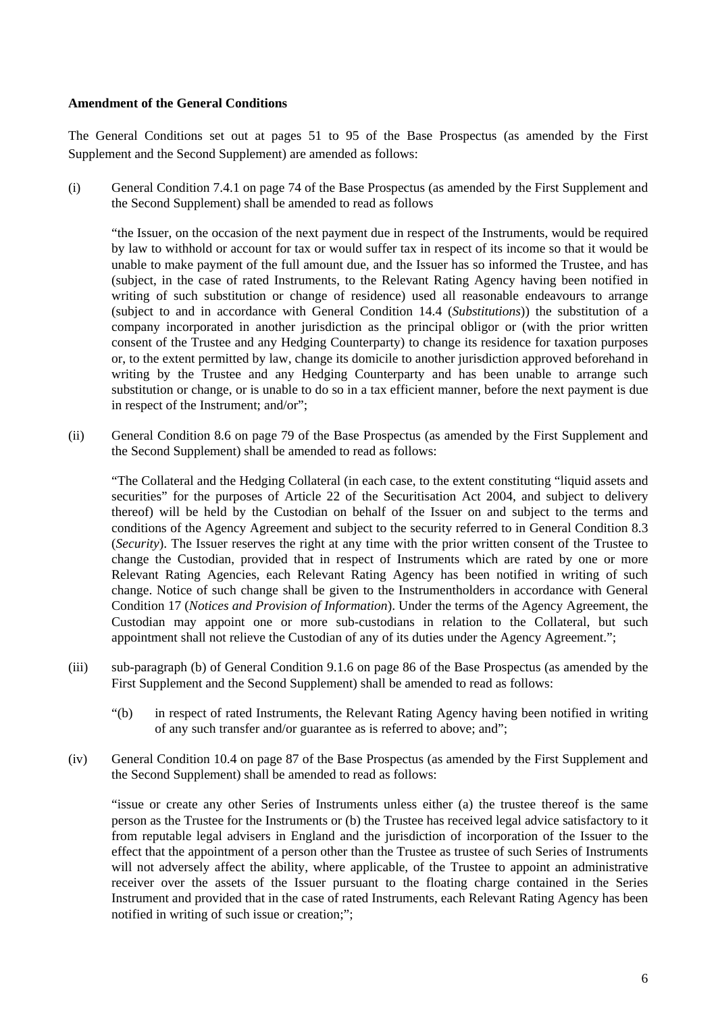#### **Amendment of the General Conditions**

The General Conditions set out at pages 51 to 95 of the Base Prospectus (as amended by the First Supplement and the Second Supplement) are amended as follows:

(i) General Condition 7.4.1 on page 74 of the Base Prospectus (as amended by the First Supplement and the Second Supplement) shall be amended to read as follows

"the Issuer, on the occasion of the next payment due in respect of the Instruments, would be required by law to withhold or account for tax or would suffer tax in respect of its income so that it would be unable to make payment of the full amount due, and the Issuer has so informed the Trustee, and has (subject, in the case of rated Instruments, to the Relevant Rating Agency having been notified in writing of such substitution or change of residence) used all reasonable endeavours to arrange (subject to and in accordance with General Condition 14.4 (*Substitutions*)) the substitution of a company incorporated in another jurisdiction as the principal obligor or (with the prior written consent of the Trustee and any Hedging Counterparty) to change its residence for taxation purposes or, to the extent permitted by law, change its domicile to another jurisdiction approved beforehand in writing by the Trustee and any Hedging Counterparty and has been unable to arrange such substitution or change, or is unable to do so in a tax efficient manner, before the next payment is due in respect of the Instrument; and/or";

(ii) General Condition 8.6 on page 79 of the Base Prospectus (as amended by the First Supplement and the Second Supplement) shall be amended to read as follows:

"The Collateral and the Hedging Collateral (in each case, to the extent constituting "liquid assets and securities" for the purposes of Article 22 of the Securitisation Act 2004, and subject to delivery thereof) will be held by the Custodian on behalf of the Issuer on and subject to the terms and conditions of the Agency Agreement and subject to the security referred to in General Condition 8.3 (*Security*). The Issuer reserves the right at any time with the prior written consent of the Trustee to change the Custodian, provided that in respect of Instruments which are rated by one or more Relevant Rating Agencies, each Relevant Rating Agency has been notified in writing of such change. Notice of such change shall be given to the Instrumentholders in accordance with General Condition 17 (*Notices and Provision of Information*). Under the terms of the Agency Agreement, the Custodian may appoint one or more sub-custodians in relation to the Collateral, but such appointment shall not relieve the Custodian of any of its duties under the Agency Agreement.";

- (iii) sub-paragraph (b) of General Condition 9.1.6 on page 86 of the Base Prospectus (as amended by the First Supplement and the Second Supplement) shall be amended to read as follows:
	- "(b) in respect of rated Instruments, the Relevant Rating Agency having been notified in writing of any such transfer and/or guarantee as is referred to above; and";
- (iv) General Condition 10.4 on page 87 of the Base Prospectus (as amended by the First Supplement and the Second Supplement) shall be amended to read as follows:

"issue or create any other Series of Instruments unless either (a) the trustee thereof is the same person as the Trustee for the Instruments or (b) the Trustee has received legal advice satisfactory to it from reputable legal advisers in England and the jurisdiction of incorporation of the Issuer to the effect that the appointment of a person other than the Trustee as trustee of such Series of Instruments will not adversely affect the ability, where applicable, of the Trustee to appoint an administrative receiver over the assets of the Issuer pursuant to the floating charge contained in the Series Instrument and provided that in the case of rated Instruments, each Relevant Rating Agency has been notified in writing of such issue or creation;";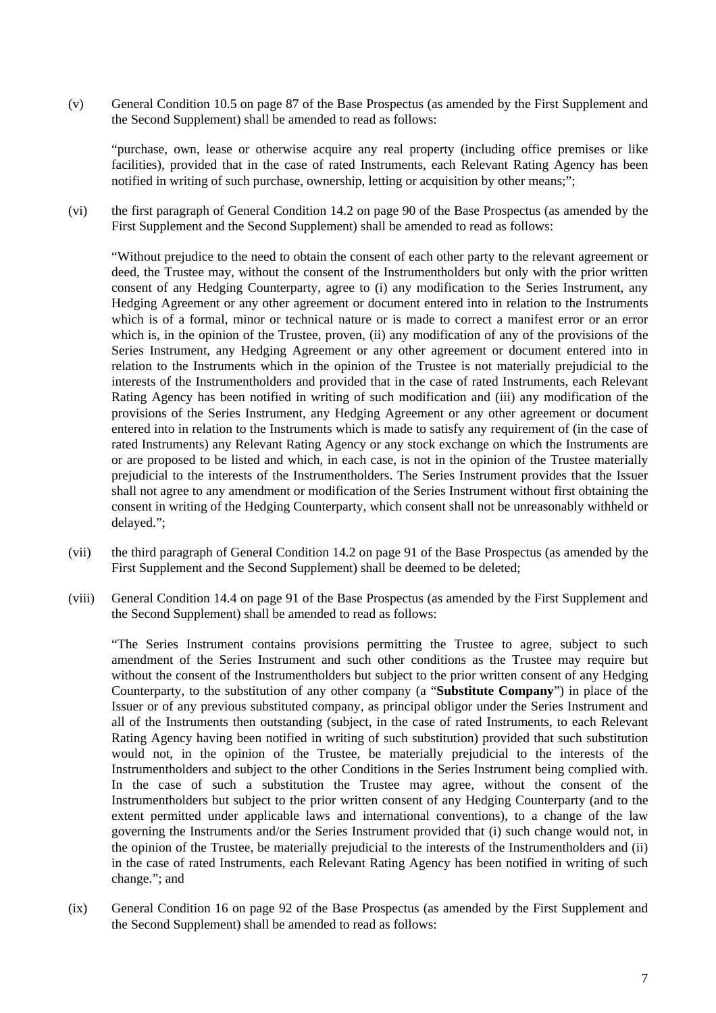(v) General Condition 10.5 on page 87 of the Base Prospectus (as amended by the First Supplement and the Second Supplement) shall be amended to read as follows:

"purchase, own, lease or otherwise acquire any real property (including office premises or like facilities), provided that in the case of rated Instruments, each Relevant Rating Agency has been notified in writing of such purchase, ownership, letting or acquisition by other means;";

(vi) the first paragraph of General Condition 14.2 on page 90 of the Base Prospectus (as amended by the First Supplement and the Second Supplement) shall be amended to read as follows:

"Without prejudice to the need to obtain the consent of each other party to the relevant agreement or deed, the Trustee may, without the consent of the Instrumentholders but only with the prior written consent of any Hedging Counterparty, agree to (i) any modification to the Series Instrument, any Hedging Agreement or any other agreement or document entered into in relation to the Instruments which is of a formal, minor or technical nature or is made to correct a manifest error or an error which is, in the opinion of the Trustee, proven, (ii) any modification of any of the provisions of the Series Instrument, any Hedging Agreement or any other agreement or document entered into in relation to the Instruments which in the opinion of the Trustee is not materially prejudicial to the interests of the Instrumentholders and provided that in the case of rated Instruments, each Relevant Rating Agency has been notified in writing of such modification and (iii) any modification of the provisions of the Series Instrument, any Hedging Agreement or any other agreement or document entered into in relation to the Instruments which is made to satisfy any requirement of (in the case of rated Instruments) any Relevant Rating Agency or any stock exchange on which the Instruments are or are proposed to be listed and which, in each case, is not in the opinion of the Trustee materially prejudicial to the interests of the Instrumentholders. The Series Instrument provides that the Issuer shall not agree to any amendment or modification of the Series Instrument without first obtaining the consent in writing of the Hedging Counterparty, which consent shall not be unreasonably withheld or delayed.";

- (vii) the third paragraph of General Condition 14.2 on page 91 of the Base Prospectus (as amended by the First Supplement and the Second Supplement) shall be deemed to be deleted;
- (viii) General Condition 14.4 on page 91 of the Base Prospectus (as amended by the First Supplement and the Second Supplement) shall be amended to read as follows:

"The Series Instrument contains provisions permitting the Trustee to agree, subject to such amendment of the Series Instrument and such other conditions as the Trustee may require but without the consent of the Instrumentholders but subject to the prior written consent of any Hedging Counterparty, to the substitution of any other company (a "**Substitute Company**") in place of the Issuer or of any previous substituted company, as principal obligor under the Series Instrument and all of the Instruments then outstanding (subject, in the case of rated Instruments, to each Relevant Rating Agency having been notified in writing of such substitution) provided that such substitution would not, in the opinion of the Trustee, be materially prejudicial to the interests of the Instrumentholders and subject to the other Conditions in the Series Instrument being complied with. In the case of such a substitution the Trustee may agree, without the consent of the Instrumentholders but subject to the prior written consent of any Hedging Counterparty (and to the extent permitted under applicable laws and international conventions), to a change of the law governing the Instruments and/or the Series Instrument provided that (i) such change would not, in the opinion of the Trustee, be materially prejudicial to the interests of the Instrumentholders and (ii) in the case of rated Instruments, each Relevant Rating Agency has been notified in writing of such change."; and

(ix) General Condition 16 on page 92 of the Base Prospectus (as amended by the First Supplement and the Second Supplement) shall be amended to read as follows: